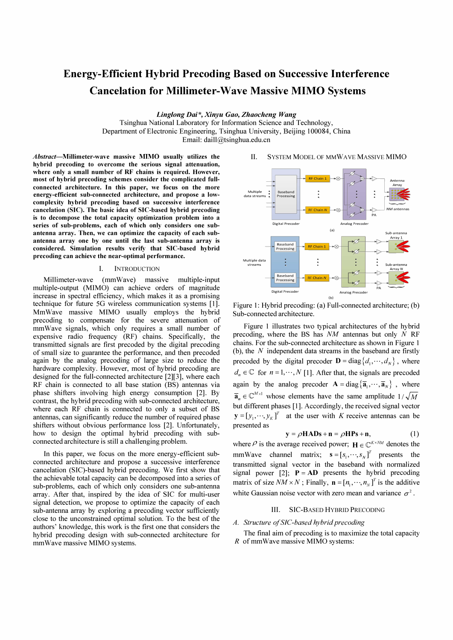# Energy-Efficient Hybrid Precoding Based on Successive Interference Cancelation for Millimeter-Wave Massive MIMO Systems

Linglong Dai\*, Xinyu Gao, Zhaocheng Wang

Tsinghua National Laboratory for Information Science and Technology, Department of Electronic Engineering, Tsinghua University, Beijing 100084, China Email: daill@tsinghua.edu.cn

Abstract-Millimeter-wave massive MIMO usually utilizes the hybrid precoding to overcome the serious signal attenuation, where only a small number of RF chains is required. However, most of hybrid precoding schemes consider the complicated fullconnected architecture. In this paper, we focus on the more energy-efficient sub-connected architecture, and propose a lowcomplexity hybrid precoding based on successive interference cancelation (SIC). The basic idea of SIC-based hybrid precoding is to decompose the total capacity optimization problem into a series of sub-problems, each of which only considers one subantenna array. Then, we can optimize the capacity of each subantenna array one by one until the last sub-antenna array is considered. Simulation results verify that SIC-based hybrid precoding can achieve the near-optimal performance.

#### I. INTRODUCTION

Millimeter-wave (mmWave) massive multiple-input multiple-output (MIMO) can achieve orders of magnitude increase in spectral efficiency, which makes it as a promising technique for future 5G wireless communication systems [I]. MmWave massive MIMO usually employs the hybrid precoding to compensate for the severe attenuation of mmWave signals, which only requires a small number of expensive radio frequency (RF) chains. Specifically, the transmitted signals are first precoded by the digital precoding of small size to guarantee the performance, and then precoded again by the analog precoding of large size to reduce the hardware complexity. However, most of hybrid precoding are designed for the full-connected architecture [2][3], where each RF chain is connected to all base station (BS) antennas via phase shifters involving high energy consumption [2]. By contrast, the hybrid precoding with sub-connected architecture, where each RF chain is connected to only a subset of BS antennas, can significantly reduce the number of required phase shifters without obvious performance loss [2]. Unfortunately, how to design the optimal hybrid precoding with subconnected architecture is still a challenging problem.

In this paper, we focus on the more energy-efficient subconnected architecture and propose a successive interference cancelation (SIC)-based hybrid precoding. We first show that the achievable total capacity can be decomposed into a series of sub-problems, each of which only considers one sub-antenna array. After that, inspired by the idea of SIC for multi-user signal detection, we propose to optimize the capacity of each sub-antenna array by exploring a precoding vector sufficiently close to the unconstrained optimal solution. To the best of the authors' knowledge, this work is the first one that considers the hybrid precoding design with sub-connected architecture for mmWave massive MIMO systems.





Figure 1: Hybrid precoding: (a) Full-connected architecture; (b) Sub-connected architecture.

Figure 1 illustrates two typical architectures of the hybrid precoding, where the BS has  $NM$  antennas but only N RF chains. For the sub-connected architecture as shown in Figure 1 (b), the  $N$  independent data streams in the baseband are firstly precoded by the digital precoder  $\mathbf{D} = \text{diag}\{d_1, \dots, d_N\}$ , where  $d_n \in \mathbb{C}$  for  $n = 1, \dots, N$  [1]. After that, the signals are precoded again by the analog precoder  $\mathbf{A} = \text{diag}\{\overline{\mathbf{a}}_1, \dots, \overline{\mathbf{a}}_N\}$ , where  $\overline{\mathbf{a}}_n \in \mathbb{C}^{M \times 1}$  whose elements have the same amplitude  $1/\sqrt{M}$ but different phases [1]. Accordingly, the received signal vector  $\mathbf{y} = [y_1, \dots, y_k]^T$  at the user with K receive antennas can be presented as

$$
y = \rho HADs + n = \rho HPs + n,\tag{1}
$$

where  $\rho$  is the average received power;  $\mathbf{H} \in \mathbb{C}^{K \times NM}$  denotes the mmWave channel matrix;  $\mathbf{s} = [s_1, \dots, s_N]^T$  presents the transmitted signal vector in the baseband with normalized signal power [2];  $P = AD$  presents the hybrid precoding matrix of size  $NM \times N$ ; Finally,  $\mathbf{n} = [n_1, \dots, n_N]^T$  is the additive white Gaussian noise vector with zero mean and variance  $\sigma^2$ .

#### III. SIC-BASED HYBRID PRECODING

A. Structure of SIC-based hybrid precoding

The final aim of precoding is to maximize the total capacity R of mmWave massive MIMO systems: